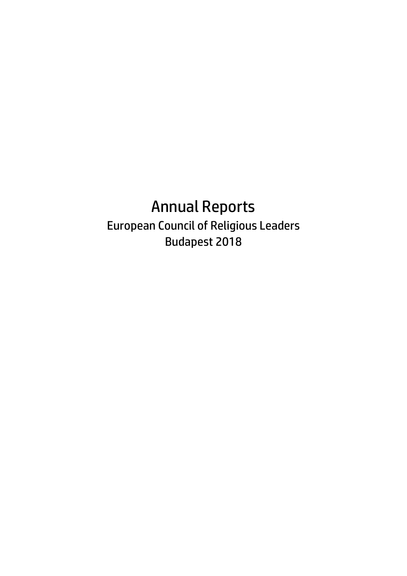## Annual Reports European Council of Religious Leaders Budapest 2018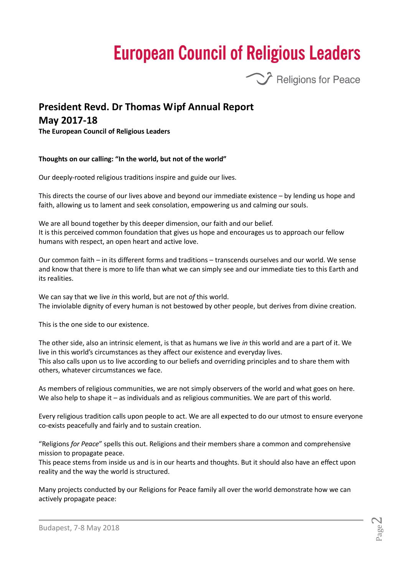# **European Council of Religious Leaders**



## **President Revd. Dr Thomas Wipf Annual Report**

## **May 2017-18**

**The European Council of Religious Leaders**

## **Thoughts on our calling: "In the world, but not of the world"**

Our deeply-rooted religious traditions inspire and guide our lives.

This directs the course of our lives above and beyond our immediate existence – by lending us hope and faith, allowing us to lament and seek consolation, empowering us and calming our souls.

We are all bound together by this deeper dimension, our faith and our belief. It is this perceived common foundation that gives us hope and encourages us to approach our fellow humans with respect, an open heart and active love.

Our common faith – in its different forms and traditions – transcends ourselves and our world. We sense and know that there is more to life than what we can simply see and our immediate ties to this Earth and its realities.

We can say that we live *in* this world, but are not *of* this world. The inviolable dignity of every human is not bestowed by other people, but derives from divine creation.

This is the one side to our existence.

The other side, also an intrinsic element, is that as humans we live *in* this world and are a part of it. We live in this world's circumstances as they affect our existence and everyday lives. This also calls upon us to live according to our beliefs and overriding principles and to share them with others, whatever circumstances we face.

As members of religious communities, we are not simply observers of the world and what goes on here. We also help to shape it – as individuals and as religious communities. We are part of this world.

Every religious tradition calls upon people to act. We are all expected to do our utmost to ensure everyone co-exists peacefully and fairly and to sustain creation.

"Religions *for Peace*" spells this out. Religions and their members share a common and comprehensive mission to propagate peace.

This peace stems from inside us and is in our hearts and thoughts. But it should also have an effect upon reality and the way the world is structured.

Many projects conducted by our Religions for Peace family all over the world demonstrate how we can actively propagate peace: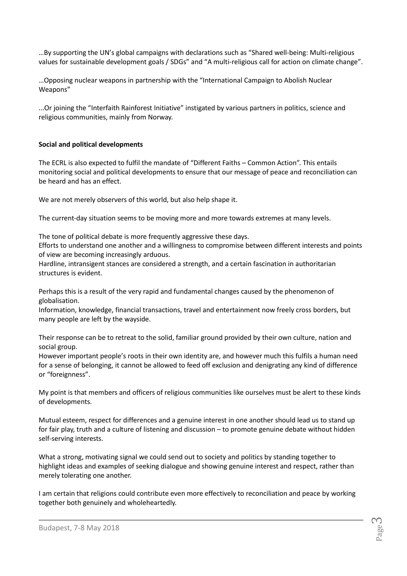…By supporting the UN's global campaigns with declarations such as "Shared well-being: Multi-religious values for sustainable development goals / SDGs" and "A multi-religious call for action on climate change".

…Opposing nuclear weapons in partnership with the "International Campaign to Abolish Nuclear Weapons"

...Or joining the "Interfaith Rainforest Initiative" instigated by various partners in politics, science and religious communities, mainly from Norway.

## **Social and political developments**

The ECRL is also expected to fulfil the mandate of "Different Faiths – Common Action". This entails monitoring social and political developments to ensure that our message of peace and reconciliation can be heard and has an effect.

We are not merely observers of this world, but also help shape it.

The current-day situation seems to be moving more and more towards extremes at many levels.

The tone of political debate is more frequently aggressive these days.

Efforts to understand one another and a willingness to compromise between different interests and points of view are becoming increasingly arduous.

Hardline, intransigent stances are considered a strength, and a certain fascination in authoritarian structures is evident.

Perhaps this is a result of the very rapid and fundamental changes caused by the phenomenon of globalisation.

Information, knowledge, financial transactions, travel and entertainment now freely cross borders, but many people are left by the wayside.

Their response can be to retreat to the solid, familiar ground provided by their own culture, nation and social group.

However important people's roots in their own identity are, and however much this fulfils a human need for a sense of belonging, it cannot be allowed to feed off exclusion and denigrating any kind of difference or "foreignness".

My point is that members and officers of religious communities like ourselves must be alert to these kinds of developments.

Mutual esteem, respect for differences and a genuine interest in one another should lead us to stand up for fair play, truth and a culture of listening and discussion – to promote genuine debate without hidden self-serving interests.

What a strong, motivating signal we could send out to society and politics by standing together to highlight ideas and examples of seeking dialogue and showing genuine interest and respect, rather than merely tolerating one another.

I am certain that religions could contribute even more effectively to reconciliation and peace by working together both genuinely and wholeheartedly.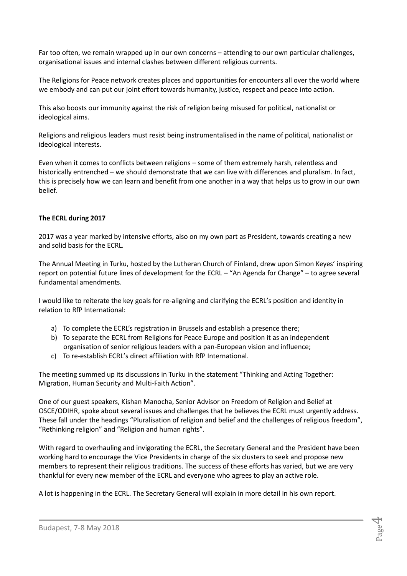Far too often, we remain wrapped up in our own concerns – attending to our own particular challenges, organisational issues and internal clashes between different religious currents.

The Religions for Peace network creates places and opportunities for encounters all over the world where we embody and can put our joint effort towards humanity, justice, respect and peace into action.

This also boosts our immunity against the risk of religion being misused for political, nationalist or ideological aims.

Religions and religious leaders must resist being instrumentalised in the name of political, nationalist or ideological interests.

Even when it comes to conflicts between religions – some of them extremely harsh, relentless and historically entrenched – we should demonstrate that we can live with differences and pluralism. In fact, this is precisely how we can learn and benefit from one another in a way that helps us to grow in our own belief.

## **The ECRL during 2017**

2017 was a year marked by intensive efforts, also on my own part as President, towards creating a new and solid basis for the ECRL.

The Annual Meeting in Turku, hosted by the Lutheran Church of Finland, drew upon Simon Keyes' inspiring report on potential future lines of development for the ECRL – "An Agenda for Change" – to agree several fundamental amendments.

I would like to reiterate the key goals for re-aligning and clarifying the ECRL's position and identity in relation to RfP International:

- a) To complete the ECRL's registration in Brussels and establish a presence there;
- b) To separate the ECRL from Religions for Peace Europe and position it as an independent organisation of senior religious leaders with a pan-European vision and influence;
- c) To re-establish ECRL's direct affiliation with RfP International.

The meeting summed up its discussions in Turku in the statement "Thinking and Acting Together: Migration, Human Security and Multi-Faith Action".

One of our guest speakers, Kishan Manocha, Senior Advisor on Freedom of Religion and Belief at OSCE/ODIHR, spoke about several issues and challenges that he believes the ECRL must urgently address. These fall under the headings "Pluralisation of religion and belief and the challenges of religious freedom", "Rethinking religion" and "Religion and human rights".

With regard to overhauling and invigorating the ECRL, the Secretary General and the President have been working hard to encourage the Vice Presidents in charge of the six clusters to seek and propose new members to represent their religious traditions. The success of these efforts has varied, but we are very thankful for every new member of the ECRL and everyone who agrees to play an active role.

A lot is happening in the ECRL. The Secretary General will explain in more detail in his own report.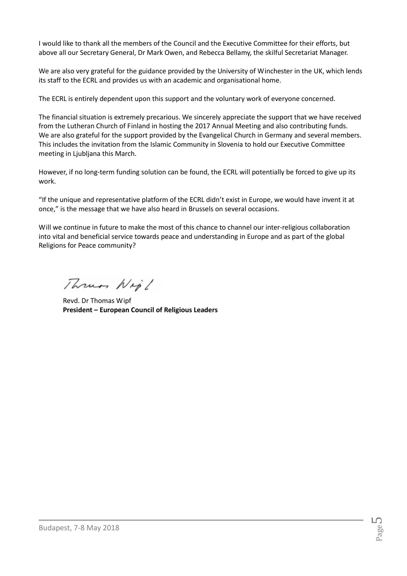I would like to thank all the members of the Council and the Executive Committee for their efforts, but above all our Secretary General, Dr Mark Owen, and Rebecca Bellamy, the skilful Secretariat Manager.

We are also very grateful for the guidance provided by the University of Winchester in the UK, which lends its staff to the ECRL and provides us with an academic and organisational home.

The ECRL is entirely dependent upon this support and the voluntary work of everyone concerned.

The financial situation is extremely precarious. We sincerely appreciate the support that we have received from the Lutheran Church of Finland in hosting the 2017 Annual Meeting and also contributing funds. We are also grateful for the support provided by the Evangelical Church in Germany and several members. This includes the invitation from the Islamic Community in Slovenia to hold our Executive Committee meeting in Ljubljana this March.

However, if no long-term funding solution can be found, the ECRL will potentially be forced to give up its work.

"If the unique and representative platform of the ECRL didn't exist in Europe, we would have invent it at once," is the message that we have also heard in Brussels on several occasions.

Will we continue in future to make the most of this chance to channel our inter-religious collaboration into vital and beneficial service towards peace and understanding in Europe and as part of the global Religions for Peace community?

Thrum Nig!

Revd. Dr Thomas Wipf **President – European Council of Religious Leaders**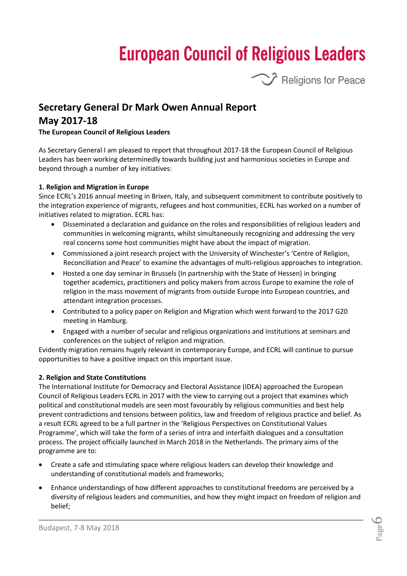# **European Council of Religious Leaders**



## **Secretary General Dr Mark Owen Annual Report May 2017-18**

## **The European Council of Religious Leaders**

As Secretary General I am pleased to report that throughout 2017-18 the European Council of Religious Leaders has been working determinedly towards building just and harmonious societies in Europe and beyond through a number of key initiatives:

### **1. Religion and Migration in Europe**

Since ECRL's 2016 annual meeting in Brixen, Italy, and subsequent commitment to contribute positively to the integration experience of migrants, refugees and host communities, ECRL has worked on a number of initiatives related to migration. ECRL has:

- Disseminated a declaration and guidance on the roles and responsibilities of religious leaders and communities in welcoming migrants, whilst simultaneously recognizing and addressing the very real concerns some host communities might have about the impact of migration.
- Commissioned a joint research project with the University of Winchester's 'Centre of Religion, Reconciliation and Peace' to examine the advantages of multi-religious approaches to integration.
- Hosted a one day seminar in Brussels (In partnership with the State of Hessen) in bringing together academics, practitioners and policy makers from across Europe to examine the role of religion in the mass movement of migrants from outside Europe into European countries, and attendant integration processes.
- Contributed to a policy paper on Religion and Migration which went forward to the 2017 G20 meeting in Hamburg.
- Engaged with a number of secular and religious organizations and institutions at seminars and conferences on the subject of religion and migration.

Evidently migration remains hugely relevant in contemporary Europe, and ECRL will continue to pursue opportunities to have a positive impact on this important issue.

#### **2. Religion and State Constitutions**

The International Institute for Democracy and Electoral Assistance (IDEA) approached the European Council of Religious Leaders ECRL in 2017 with the view to carrying out a project that examines which political and constitutional models are seen most favourably by religious communities and best help prevent contradictions and tensions between politics, law and freedom of religious practice and belief. As a result ECRL agreed to be a full partner in the 'Religious Perspectives on Constitutional Values Programme', which will take the form of a series of intra and interfaith dialogues and a consultation process. The project officially launched in March 2018 in the Netherlands. The primary aims of the programme are to:

- Create a safe and stimulating space where religious leaders can develop their knowledge and understanding of constitutional models and frameworks;
- Enhance understandings of how different approaches to constitutional freedoms are perceived by a diversity of religious leaders and communities, and how they might impact on freedom of religion and belief;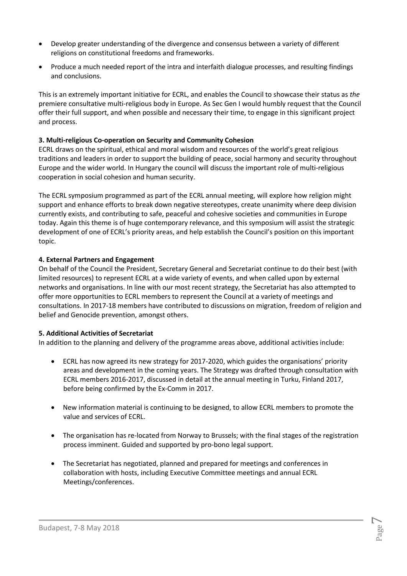- Develop greater understanding of the divergence and consensus between a variety of different religions on constitutional freedoms and frameworks.
- Produce a much needed report of the intra and interfaith dialogue processes, and resulting findings and conclusions.

This is an extremely important initiative for ECRL, and enables the Council to showcase their status as *the* premiere consultative multi-religious body in Europe. As Sec Gen I would humbly request that the Council offer their full support, and when possible and necessary their time, to engage in this significant project and process.

## **3. Multi-religious Co-operation on Security and Community Cohesion**

ECRL draws on the spiritual, ethical and moral wisdom and resources of the world's great religious traditions and leaders in order to support the building of peace, social harmony and security throughout Europe and the wider world. In Hungary the council will discuss the important role of multi-religious cooperation in social cohesion and human security.

The ECRL symposium programmed as part of the ECRL annual meeting, will explore how religion might support and enhance efforts to break down negative stereotypes, create unanimity where deep division currently exists, and contributing to safe, peaceful and cohesive societies and communities in Europe today. Again this theme is of huge contemporary relevance, and this symposium will assist the strategic development of one of ECRL's priority areas, and help establish the Council's position on this important topic.

## **4. External Partners and Engagement**

On behalf of the Council the President, Secretary General and Secretariat continue to do their best (with limited resources) to represent ECRL at a wide variety of events, and when called upon by external networks and organisations. In line with our most recent strategy, the Secretariat has also attempted to offer more opportunities to ECRL members to represent the Council at a variety of meetings and consultations. In 2017-18 members have contributed to discussions on migration, freedom of religion and belief and Genocide prevention, amongst others.

## **5. Additional Activities of Secretariat**

In addition to the planning and delivery of the programme areas above, additional activities include:

- ECRL has now agreed its new strategy for 2017-2020, which guides the organisations' priority areas and development in the coming years. The Strategy was drafted through consultation with ECRL members 2016-2017, discussed in detail at the annual meeting in Turku, Finland 2017, before being confirmed by the Ex-Comm in 2017.
- New information material is continuing to be designed, to allow ECRL members to promote the value and services of ECRL.
- The organisation has re-located from Norway to Brussels; with the final stages of the registration process imminent. Guided and supported by pro-bono legal support.
- The Secretariat has negotiated, planned and prepared for meetings and conferences in collaboration with hosts, including Executive Committee meetings and annual ECRL Meetings/conferences.